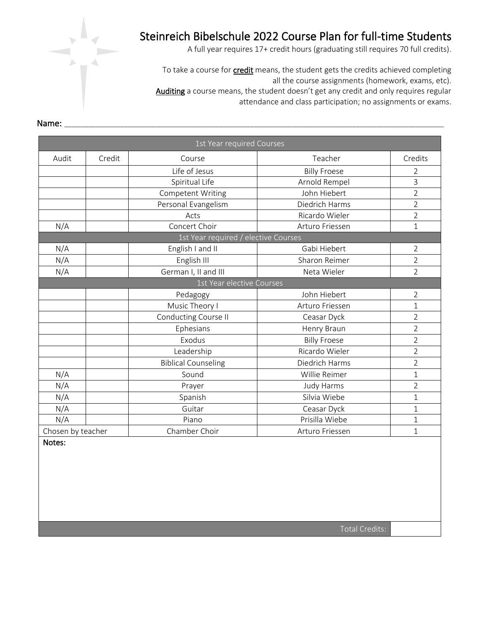

A full year requires 17+ credit hours (graduating still requires 70 full credits).

To take a course for *credit* means, the student gets the credits achieved completing all the course assignments (homework, exams, etc). Auditing a course means, the student doesn't get any credit and only requires regular attendance and class participation; no assignments or exams.

|                   |        | 1st Year required Courses            |                     |                |
|-------------------|--------|--------------------------------------|---------------------|----------------|
| Audit             | Credit | Course                               | Teacher             | Credits        |
|                   |        | Life of Jesus                        | <b>Billy Froese</b> | 2              |
|                   |        | Spiritual Life                       | Arnold Rempel       | 3              |
|                   |        | <b>Competent Writing</b>             | John Hiebert        | $\overline{2}$ |
|                   |        | Personal Evangelism                  | Diedrich Harms      | $\overline{2}$ |
|                   |        | Acts                                 | Ricardo Wieler      | $\overline{2}$ |
| N/A               |        | Concert Choir                        | Arturo Friessen     | 1              |
|                   |        | 1st Year required / elective Courses |                     |                |
| N/A               |        | English I and II                     | Gabi Hiebert        | 2              |
| N/A               |        | English III                          | Sharon Reimer       | $\overline{2}$ |
| N/A               |        | German I, II and III                 | Neta Wieler         | $\overline{2}$ |
|                   |        | 1st Year elective Courses            |                     |                |
|                   |        | Pedagogy                             | John Hiebert        | $\overline{2}$ |
|                   |        | Music Theory I                       | Arturo Friessen     | 1              |
|                   |        | Conducting Course II                 | Ceasar Dyck         | $\overline{2}$ |
|                   |        | Ephesians                            | Henry Braun         | $\overline{2}$ |
|                   |        | Exodus                               | <b>Billy Froese</b> | $\overline{2}$ |
|                   |        | Leadership                           | Ricardo Wieler      | $\overline{2}$ |
|                   |        | <b>Biblical Counseling</b>           | Diedrich Harms      | $\overline{2}$ |
| N/A               |        | Sound                                | Willie Reimer       | $\mathbf{1}$   |
| N/A               |        | Prayer                               | Judy Harms          | $\overline{2}$ |
| N/A               |        | Spanish                              | Silvia Wiebe        | 1              |
| N/A               |        | Guitar                               | Ceasar Dyck         | $\mathbf 1$    |
| N/A               |        | Piano                                | Prisilla Wiebe      | $\mathbf{1}$   |
| Chosen by teacher |        | Chamber Choir                        | Arturo Friessen     | 1              |
| Notes:            |        |                                      |                     |                |

### Name: \_\_\_\_\_\_\_\_\_\_\_\_\_\_\_\_\_\_\_\_\_\_\_\_\_\_\_\_\_\_\_\_\_\_\_\_\_\_\_\_\_\_\_\_\_\_\_\_\_\_\_\_\_\_\_\_\_\_\_\_\_\_\_\_\_\_\_\_\_\_\_\_\_\_\_\_\_\_\_\_\_\_\_\_\_\_\_\_\_\_\_\_\_\_\_\_\_\_\_\_\_\_\_\_\_\_\_\_

Total Credits: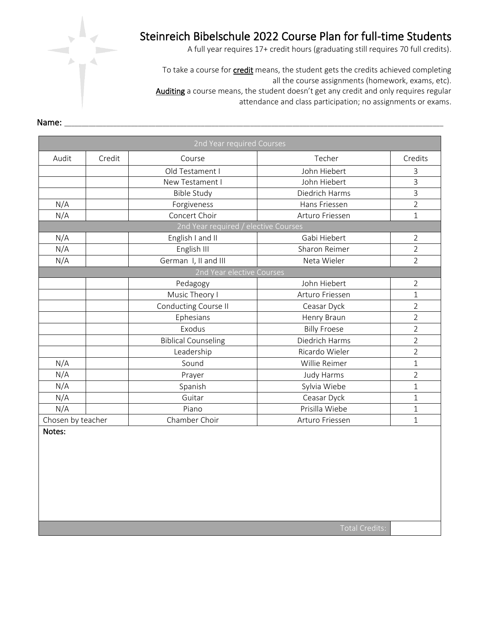

A full year requires 17+ credit hours (graduating still requires 70 full credits).

To take a course for *credit* means, the student gets the credits achieved completing all the course assignments (homework, exams, etc). Auditing a course means, the student doesn't get any credit and only requires regular attendance and class participation; no assignments or exams.

|                   |        | 2nd Year required Courses            |                     |                |
|-------------------|--------|--------------------------------------|---------------------|----------------|
| Audit             | Credit | Course                               | Techer              | Credits        |
|                   |        | Old Testament I                      | John Hiebert        | 3              |
|                   |        | New Testament I                      | John Hiebert        | 3              |
|                   |        | <b>Bible Study</b>                   | Diedrich Harms      | 3              |
| N/A               |        | Forgiveness                          | Hans Friessen       | $\overline{2}$ |
| N/A               |        | Concert Choir                        | Arturo Friessen     | $\mathbf{1}$   |
|                   |        | 2nd Year required / elective Courses |                     |                |
| N/A               |        | English I and II                     | Gabi Hiebert        | 2              |
| N/A               |        | English III                          | Sharon Reimer       | $\overline{2}$ |
| N/A               |        | German I, II and III                 | Neta Wieler         | 2              |
|                   |        | 2nd Year elective Courses            |                     |                |
|                   |        | Pedagogy                             | John Hiebert        | $\overline{2}$ |
|                   |        | Music Theory I                       | Arturo Friessen     | 1              |
|                   |        | Conducting Course II                 | Ceasar Dyck         | 2              |
|                   |        | Ephesians                            | Henry Braun         | $\overline{2}$ |
|                   |        | Exodus                               | <b>Billy Froese</b> | $\overline{2}$ |
|                   |        | <b>Biblical Counseling</b>           | Diedrich Harms      | $\overline{2}$ |
|                   |        | Leadership                           | Ricardo Wieler      | $\overline{2}$ |
| N/A               |        | Sound                                | Willie Reimer       | $\mathbf{1}$   |
| N/A               |        | Prayer                               | Judy Harms          | $\overline{2}$ |
| N/A               |        | Spanish                              | Sylvia Wiebe        | $\mathbf 1$    |
| N/A               |        | Guitar                               | Ceasar Dyck         | $\mathbf{1}$   |
| N/A               |        | Piano                                | Prisilla Wiebe      | $\mathbf 1$    |
| Chosen by teacher |        | Chamber Choir                        | Arturo Friessen     | $\mathbf{1}$   |

#### Name: \_\_\_\_\_\_\_\_\_\_\_\_\_\_\_\_\_\_\_\_\_\_\_\_\_\_\_\_\_\_\_\_\_\_\_\_\_\_\_\_\_\_\_\_\_\_\_\_\_\_\_\_\_\_\_\_\_\_\_\_\_\_\_\_\_\_\_\_\_\_\_\_\_\_\_\_\_\_\_\_\_\_\_\_\_\_\_\_\_\_\_\_\_\_\_\_\_\_\_\_\_\_\_\_\_\_\_\_

Notes: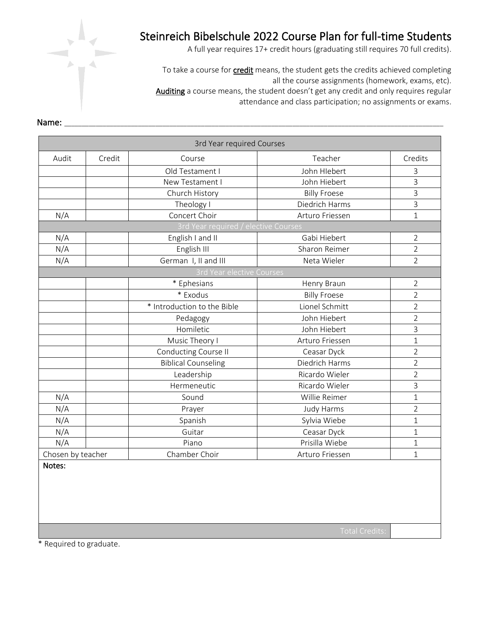

A full year requires 17+ credit hours (graduating still requires 70 full credits).

To take a course for **credit** means, the student gets the credits achieved completing all the course assignments (homework, exams, etc). Auditing a course means, the student doesn't get any credit and only requires regular attendance and class participation; no assignments or exams.

|                   |        | 3rd Year required Courses            |                     |                |
|-------------------|--------|--------------------------------------|---------------------|----------------|
| Audit             | Credit | Course                               | Teacher             | Credits        |
|                   |        | Old Testament I                      | John Hlebert        | 3              |
|                   |        | New Testament I                      | John Hiebert        | $\overline{3}$ |
|                   |        | Church History                       | <b>Billy Froese</b> | $\mathsf{3}$   |
|                   |        | Theology I                           | Diedrich Harms      | $\overline{3}$ |
| N/A               |        | Concert Choir                        | Arturo Friessen     | $\mathbf 1$    |
|                   |        | 3rd Year required / elective Courses |                     |                |
| N/A               |        | English I and II                     | Gabi Hiebert        | $\overline{2}$ |
| N/A               |        | English III                          | Sharon Reimer       | $\overline{2}$ |
| N/A               |        | German I, II and III                 | Neta Wieler         | $\overline{2}$ |
|                   |        | 3rd Year elective Courses            |                     |                |
|                   |        | * Ephesians                          | Henry Braun         | $\overline{2}$ |
|                   |        | * Exodus                             | <b>Billy Froese</b> | $\overline{2}$ |
|                   |        | * Introduction to the Bible          | Lionel Schmitt      | $\overline{2}$ |
|                   |        | Pedagogy                             | John Hiebert        | $\overline{2}$ |
|                   |        | Homiletic                            | John Hiebert        | $\overline{3}$ |
|                   |        | Music Theory I                       | Arturo Friessen     | $\mathbf{1}$   |
|                   |        | Conducting Course II                 | Ceasar Dyck         | $\overline{2}$ |
|                   |        | <b>Biblical Counseling</b>           | Diedrich Harms      | $\overline{2}$ |
|                   |        | Leadership                           | Ricardo Wieler      | $\overline{2}$ |
|                   |        | Hermeneutic                          | Ricardo Wieler      | $\overline{3}$ |
| N/A               |        | Sound                                | Willie Reimer       | $\mathbf{1}$   |
| N/A               |        | Prayer                               | <b>Judy Harms</b>   | $\overline{2}$ |
| N/A               |        | Spanish                              | Sylvia Wiebe        | 1              |
| N/A               |        | Guitar                               | Ceasar Dyck         | $\mathbf 1$    |
| N/A               |        | Piano                                | Prisilla Wiebe      | $\mathbf 1$    |
| Chosen by teacher |        | Chamber Choir                        | Arturo Friessen     | $\mathbf 1$    |
| Notes:            |        |                                      |                     |                |

### Name: \_\_\_\_\_\_\_\_\_\_\_\_\_\_\_\_\_\_\_\_\_\_\_\_\_\_\_\_\_\_\_\_\_\_\_\_\_\_\_\_\_\_\_\_\_\_\_\_\_\_\_\_\_\_\_\_\_\_\_\_\_\_\_\_\_\_\_\_\_\_\_\_\_\_\_\_\_\_\_\_\_\_\_\_\_\_\_\_\_\_\_\_\_\_\_\_\_\_\_\_\_\_\_\_\_\_\_\_

\* Required to graduate.